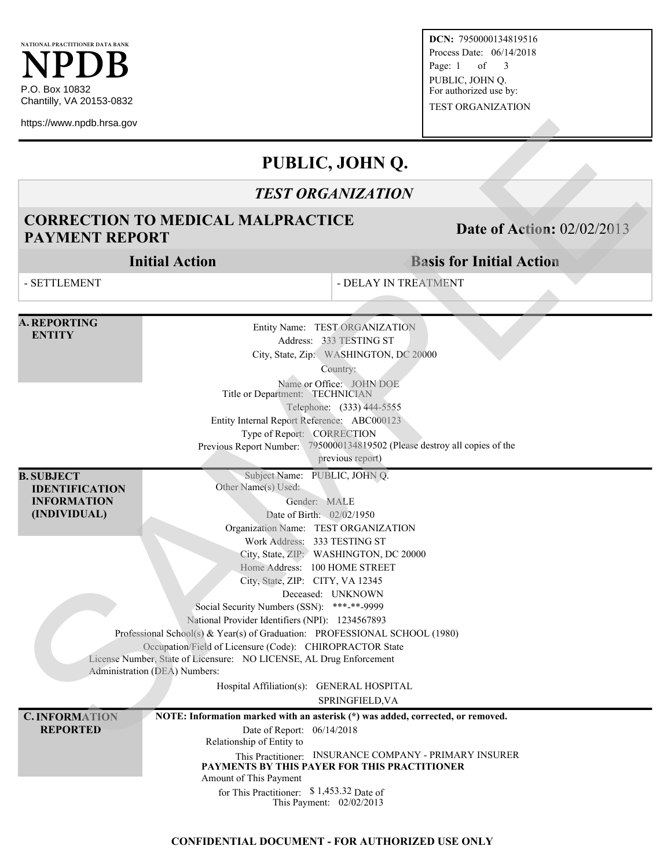**DCN:** 7950000134819516 Process Date: 06/14/2018 Page: 1 of 3 PUBLIC, JOHN Q. For authorized use by: TEST ORGANIZATION

# **PUBLIC, JOHN Q.**

### *TEST ORGANIZATION*

# **CORRECTION TO MEDICAL MALPRACTICE PAYMENT REPORT DATE OF ALL PAYMENT REPORT DATE:** Date of Action: 02/02/2013

## **Basis for Initial Action**

| https://www.npdb.hrsa.gov                                                        |                                                                                                                                                                                                                                                                                                                                                                                                                                                                                                                                                                                                                                                                                          |                                                                                                                                                                                              |                                   |
|----------------------------------------------------------------------------------|------------------------------------------------------------------------------------------------------------------------------------------------------------------------------------------------------------------------------------------------------------------------------------------------------------------------------------------------------------------------------------------------------------------------------------------------------------------------------------------------------------------------------------------------------------------------------------------------------------------------------------------------------------------------------------------|----------------------------------------------------------------------------------------------------------------------------------------------------------------------------------------------|-----------------------------------|
|                                                                                  |                                                                                                                                                                                                                                                                                                                                                                                                                                                                                                                                                                                                                                                                                          | PUBLIC, JOHN Q.                                                                                                                                                                              |                                   |
|                                                                                  |                                                                                                                                                                                                                                                                                                                                                                                                                                                                                                                                                                                                                                                                                          | <b>TEST ORGANIZATION</b>                                                                                                                                                                     |                                   |
| <b>PAYMENT REPORT</b>                                                            | <b>CORRECTION TO MEDICAL MALPRACTICE</b>                                                                                                                                                                                                                                                                                                                                                                                                                                                                                                                                                                                                                                                 |                                                                                                                                                                                              | <b>Date of Action: 02/02/2013</b> |
|                                                                                  | <b>Initial Action</b>                                                                                                                                                                                                                                                                                                                                                                                                                                                                                                                                                                                                                                                                    |                                                                                                                                                                                              | <b>Basis for Initial Action</b>   |
| - SETTLEMENT                                                                     |                                                                                                                                                                                                                                                                                                                                                                                                                                                                                                                                                                                                                                                                                          | - DELAY IN TREATMENT                                                                                                                                                                         |                                   |
| <b>A. REPORTING</b><br><b>ENTITY</b>                                             | Title or Department: TECHNICIAN<br>Entity Internal Report Reference: ABC000123<br>Type of Report: CORRECTION<br>Previous Report Number: 7950000134819502 (Please destroy all copies of the                                                                                                                                                                                                                                                                                                                                                                                                                                                                                               | Entity Name: TEST ORGANIZATION<br>Address: 333 TESTING ST<br>City, State, Zip: WASHINGTON, DC 20000<br>Country:<br>Name or Office: JOHN DOE<br>Telephone: (333) 444-5555<br>previous report) |                                   |
| <b>B. SUBJECT</b><br><b>IDENTIFICATION</b><br><b>INFORMATION</b><br>(INDIVIDUAL) | Subject Name: PUBLIC, JOHN Q.<br>Other Name(s) Used:<br>Gender: MALE<br>Date of Birth: 02/02/1950<br>Organization Name: TEST ORGANIZATION<br>Work Address: 333 TESTING ST<br>City, State, ZIP: WASHINGTON, DC 20000<br>Home Address: 100 HOME STREET<br>City, State, ZIP: CITY, VA 12345<br>Social Security Numbers (SSN): ***-**-9999<br>National Provider Identifiers (NPI): 1234567893<br>Professional School(s) & Year(s) of Graduation: PROFESSIONAL SCHOOL (1980)<br>Occupation/Field of Licensure (Code): CHIROPRACTOR State<br>License Number, State of Licensure: NO LICENSE, AL Drug Enforcement<br>Administration (DEA) Numbers:<br>Hospital Affiliation(s): GENERAL HOSPITAL | Deceased: UNKNOWN<br>SPRINGFIELD, VA                                                                                                                                                         |                                   |
| <b>C. INFORMATION</b><br><b>REPORTED</b>                                         | NOTE: Information marked with an asterisk (*) was added, corrected, or removed.<br>Date of Report: 06/14/2018<br>Relationship of Entity to<br>This Practitioner: INSURANCE COMPANY - PRIMARY INSURER<br>PAYMENTS BY THIS PAYER FOR THIS PRACTITIONER<br>Amount of This Payment<br>for This Practitioner: $$1,453.32$ Date of<br>This Payment: 02/02/2013                                                                                                                                                                                                                                                                                                                                 |                                                                                                                                                                                              |                                   |

#### **CONFIDENTIAL DOCUMENT - FOR AUTHORIZED USE ONLY**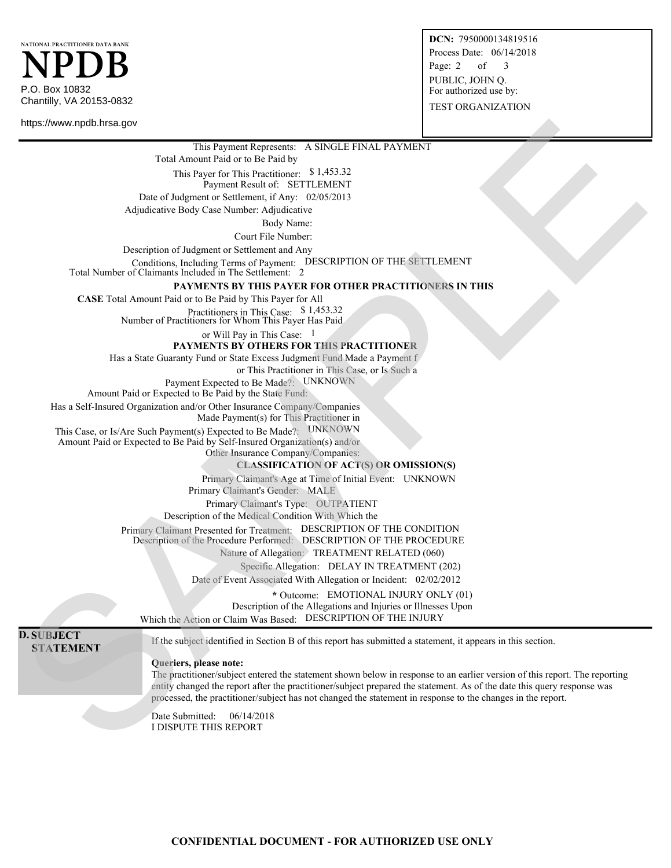**DCN:** 7950000134819516 Process Date: 06/14/2018 Page: 2 of 3 PUBLIC, JOHN Q. For authorized use by: TEST ORGANIZATION

P.O. Box 10832 Chantilly, VA 20153-0832 **NPDB NATIONAL PRACTITIONER DATA BANK**

https://www.npdb.hrsa.gov

This Payment Represents: A SINGLE FINAL PAYMENT

Total Amount Paid or to Be Paid by

This Payer for This Practitioner: \$ 1,453.32 Payment Result of: SETTLEMENT

Date of Judgment or Settlement, if Any: 02/05/2013

Adjudicative Body Case Number: Adjudicative

Body Name:

Court File Number:

Description of Judgment or Settlement and Any

Conditions, Including Terms of Payment: DESCRIPTION OF THE SETTLEMENT

Total Number of Claimants Included in The Settlement: 2

#### **PAYMENTS BY THIS PAYER FOR OTHER PRACTITIONERS IN THIS**

**CASE** Total Amount Paid or to Be Paid by This Payer for All

Practitioners in This Case: \$ 1,453.32 Number of Practitioners for Whom This Payer Has Paid

or Will Pay in This Case: 1

**PAYMENTS BY OTHERS FOR THIS PRACTITIONER**

Has a State Guaranty Fund or State Excess Judgment Fund Made a Payment f

or This Practitioner in This Case, or Is Such a

Payment Expected to Be Made?: UNKNOWN

Amount Paid or Expected to Be Paid by the State Fund:

Has a Self-Insured Organization and/or Other Insurance Company/Companies

Made Payment(s) for This Practitioner in

This Case, or Is/Are Such Payment(s) Expected to Be Made?: UNKNOWN

Amount Paid or Expected to Be Paid by Self-Insured Organization(s) and/or

Other Insurance Company/Companies:

#### **CLASSIFICATION OF ACT(S) OR OMISSION(S)**

Primary Claimant's Age at Time of Initial Event: UNKNOWN

Primary Claimant's Gender: MALE

Primary Claimant's Type: OUTPATIENT

Description of the Medical Condition With Which the Primary Claimant Presented for Treatment: DESCRIPTION OF THE CONDITION

Description of the Procedure Performed: DESCRIPTION OF THE PROCEDURE

Nature of Allegation: TREATMENT RELATED (060)

Specific Allegation: DELAY IN TREATMENT (202)

Date of Event Associated With Allegation or Incident: 02/02/2012

**\*** Outcome: EMOTIONAL INJURY ONLY (01) Description of the Allegations and Injuries or Illnesses Upon Which the Action or Claim Was Based: DESCRIPTION OF THE INJURY

**D. SUBJECT**

**SUBJEC 1** If the subject identified in Section B of this report has submitted a statement, it appears in this section.

**Queriers, please note:**

The practitioner/subject entered the statement shown below in response to an earlier version of this report. The reporting entity changed the report after the practitioner/subject prepared the statement. As of the date this query response was processed, the practitioner/subject has not changed the statement in response to the changes in the report. NOR ANNOUNCE SON THE EXPRESSION CONTRACT CONTRACT CONTRACT CONTRACT CONTRACT CONTRACT CONTRACT CONTRACT CONTRACT CONTRACT CONTRACT CONTRACT CONTRACT CONTRACT CONTRACT CONTRACT CONTRACT CONTRACT CONTRACT CONTRACT CONTRACT

Date Submitted: 06/14/2018 I DISPUTE THIS REPORT